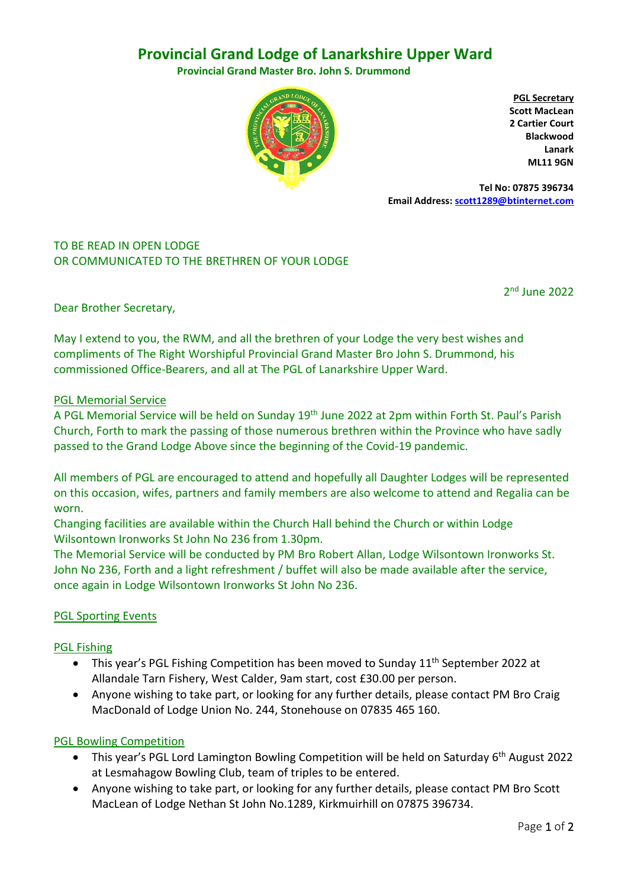# **Provincial Grand Lodge of Lanarkshire Upper Ward**

 **Provincial Grand Master Bro. John S. Drummond**



**PGL Secretary Scott MacLean 2 Cartier Court Blackwood Lanark ML11 9GN**

 **Tel No: 07875 396734 Email Address[: scott1289@btinternet.com](mailto:scott1289@btinternet.com)**

# TO BE READ IN OPEN LODGE OR COMMUNICATED TO THE BRETHREN OF YOUR LODGE

2nd June 2022

Dear Brother Secretary,

May I extend to you, the RWM, and all the brethren of your Lodge the very best wishes and compliments of The Right Worshipful Provincial Grand Master Bro John S. Drummond, his commissioned Office-Bearers, and all at The PGL of Lanarkshire Upper Ward.

### PGL Memorial Service

A PGL Memorial Service will be held on Sunday 19th June 2022 at 2pm within Forth St. Paul's Parish Church, Forth to mark the passing of those numerous brethren within the Province who have sadly passed to the Grand Lodge Above since the beginning of the Covid-19 pandemic.

All members of PGL are encouraged to attend and hopefully all Daughter Lodges will be represented on this occasion, wifes, partners and family members are also welcome to attend and Regalia can be worn.

Changing facilities are available within the Church Hall behind the Church or within Lodge Wilsontown Ironworks St John No 236 from 1.30pm.

The Memorial Service will be conducted by PM Bro Robert Allan, Lodge Wilsontown Ironworks St. John No 236, Forth and a light refreshment / buffet will also be made available after the service, once again in Lodge Wilsontown Ironworks St John No 236.

# PGL Sporting Events

### PGL Fishing

- This year's PGL Fishing Competition has been moved to Sunday 11<sup>th</sup> September 2022 at Allandale Tarn Fishery, West Calder, 9am start, cost £30.00 per person.
- Anyone wishing to take part, or looking for any further details, please contact PM Bro Craig MacDonald of Lodge Union No. 244, Stonehouse on 07835 465 160.

# PGL Bowling Competition

- This year's PGL Lord Lamington Bowling Competition will be held on Saturday 6<sup>th</sup> August 2022 at Lesmahagow Bowling Club, team of triples to be entered.
- Anyone wishing to take part, or looking for any further details, please contact PM Bro Scott MacLean of Lodge Nethan St John No.1289, Kirkmuirhill on 07875 396734.